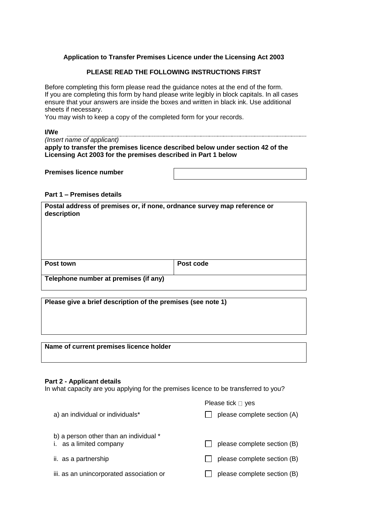# **Application to Transfer Premises Licence under the Licensing Act 2003**

# **PLEASE READ THE FOLLOWING INSTRUCTIONS FIRST**

Before completing this form please read the guidance notes at the end of the form. If you are completing this form by hand please write legibly in block capitals. In all cases ensure that your answers are inside the boxes and written in black ink. Use additional sheets if necessary.

You may wish to keep a copy of the completed form for your records.

| <b>I/We</b>                                                                    |
|--------------------------------------------------------------------------------|
| (Insert name of applicant)                                                     |
| apply to transfer the premises licence described below under section 42 of the |
| Licensing Act 2003 for the premises described in Part 1 below                  |

| <b>Premises licence number</b> |  |
|--------------------------------|--|
|--------------------------------|--|

# **Part 1 – Premises details**

| description                           | Postal address of premises or, if none, ordnance survey map reference or |  |  |  |  |
|---------------------------------------|--------------------------------------------------------------------------|--|--|--|--|
| Post town                             | Post code                                                                |  |  |  |  |
| Telephone number at premises (if any) |                                                                          |  |  |  |  |

**Please give a brief description of the premises (see note 1)**

## **Name of current premises licence holder**

#### **Part 2 - Applicant details**

In what capacity are you applying for the premises licence to be transferred to you?

|                                                                   | Please tick $\Box$ yes      |
|-------------------------------------------------------------------|-----------------------------|
| a) an individual or individuals*                                  | please complete section (A) |
| b) a person other than an individual *<br>i. as a limited company | please complete section (B) |
| ii. as a partnership                                              | please complete section (B) |
| iii. as an unincorporated association or                          | please complete section (B) |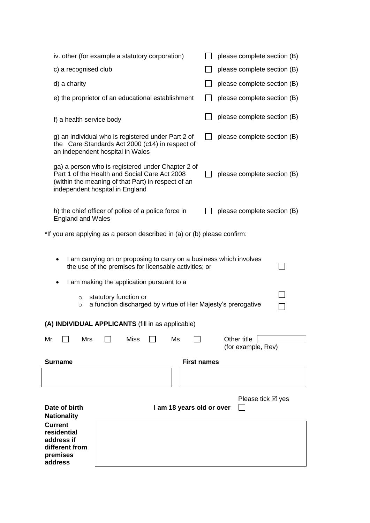| iv. other (for example a statutory corporation)                                                                                                                                             | please complete section (B)       |  |  |  |  |  |
|---------------------------------------------------------------------------------------------------------------------------------------------------------------------------------------------|-----------------------------------|--|--|--|--|--|
| c) a recognised club                                                                                                                                                                        | please complete section (B)       |  |  |  |  |  |
| d) a charity                                                                                                                                                                                | please complete section (B)       |  |  |  |  |  |
| e) the proprietor of an educational establishment                                                                                                                                           | please complete section (B)       |  |  |  |  |  |
| f) a health service body                                                                                                                                                                    | please complete section (B)       |  |  |  |  |  |
| g) an individual who is registered under Part 2 of<br>the Care Standards Act 2000 (c14) in respect of<br>an independent hospital in Wales                                                   | please complete section (B)       |  |  |  |  |  |
| ga) a person who is registered under Chapter 2 of<br>Part 1 of the Health and Social Care Act 2008<br>(within the meaning of that Part) in respect of an<br>independent hospital in England | please complete section (B)       |  |  |  |  |  |
| h) the chief officer of police of a police force in<br><b>England and Wales</b>                                                                                                             | please complete section (B)       |  |  |  |  |  |
| *If you are applying as a person described in (a) or (b) please confirm:                                                                                                                    |                                   |  |  |  |  |  |
| I am carrying on or proposing to carry on a business which involves<br>the use of the premises for licensable activities; or<br>I am making the application pursuant to a                   |                                   |  |  |  |  |  |
| statutory function or<br>$\circ$<br>a function discharged by virtue of Her Majesty's prerogative<br>$\circ$                                                                                 |                                   |  |  |  |  |  |
| (A) INDIVIDUAL APPLICANTS (fill in as applicable)                                                                                                                                           |                                   |  |  |  |  |  |
| <b>Miss</b><br>Mr<br>Mrs<br>Ms                                                                                                                                                              | Other title<br>(for example, Rev) |  |  |  |  |  |
| <b>Surname</b>                                                                                                                                                                              | <b>First names</b>                |  |  |  |  |  |
|                                                                                                                                                                                             |                                   |  |  |  |  |  |
|                                                                                                                                                                                             |                                   |  |  |  |  |  |
| Date of birth<br>I am 18 years old or over<br><b>Nationality</b>                                                                                                                            | Please tick $\boxtimes$ yes       |  |  |  |  |  |
| <b>Current</b><br>residential<br>address if<br>different from<br>premises<br>address                                                                                                        |                                   |  |  |  |  |  |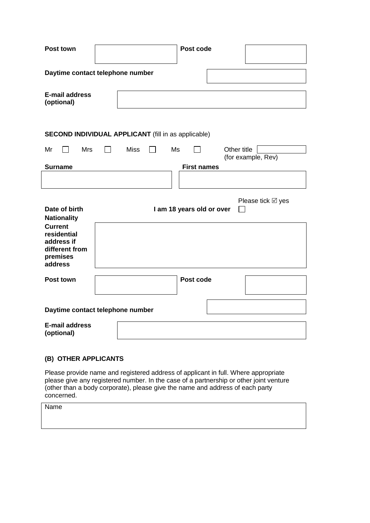| Post town                                                                            | Post code                                                |  |  |  |  |  |  |
|--------------------------------------------------------------------------------------|----------------------------------------------------------|--|--|--|--|--|--|
|                                                                                      | Daytime contact telephone number                         |  |  |  |  |  |  |
| <b>E-mail address</b><br>(optional)                                                  |                                                          |  |  |  |  |  |  |
| <b>SECOND INDIVIDUAL APPLICANT</b> (fill in as applicable)                           |                                                          |  |  |  |  |  |  |
| Mr<br><b>Mrs</b>                                                                     | <b>Miss</b><br>Other title<br>Ms<br>(for example, Rev)   |  |  |  |  |  |  |
| <b>Surname</b>                                                                       | <b>First names</b>                                       |  |  |  |  |  |  |
|                                                                                      |                                                          |  |  |  |  |  |  |
| Date of birth<br><b>Nationality</b>                                                  | Please tick $\boxtimes$ yes<br>I am 18 years old or over |  |  |  |  |  |  |
| <b>Current</b><br>residential<br>address if<br>different from<br>premises<br>address |                                                          |  |  |  |  |  |  |
| Post town                                                                            | Post code                                                |  |  |  |  |  |  |
|                                                                                      |                                                          |  |  |  |  |  |  |
|                                                                                      | Daytime contact telephone number                         |  |  |  |  |  |  |

# **(B) OTHER APPLICANTS**

Please provide name and registered address of applicant in full. Where appropriate please give any registered number. In the case of a partnership or other joint venture (other than a body corporate), please give the name and address of each party concerned.

Name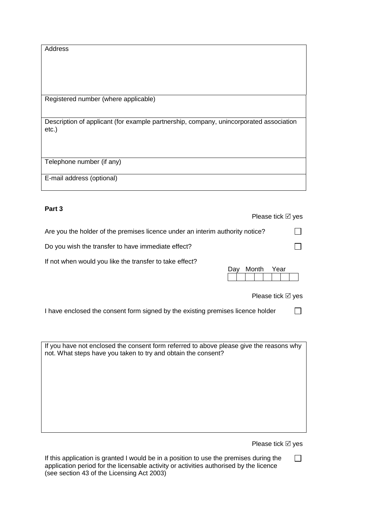| Address                                                                                            |
|----------------------------------------------------------------------------------------------------|
|                                                                                                    |
| Registered number (where applicable)                                                               |
| Description of applicant (for example partnership, company, unincorporated association<br>$etc.$ ) |
| Telephone number (if any)                                                                          |
| E-mail address (optional)                                                                          |

# **Part 3**

**Please tick Ø** yes

 $\Box$ 

 $\Box$ 

Are you the holder of the premises licence under an interim authority notice?

Do you wish the transfer to have immediate effect?

If not when would you like the transfer to take effect?

| Dav |  | Month |  | Year |  |  |
|-----|--|-------|--|------|--|--|
|     |  |       |  |      |  |  |

**Please tick Ø** ves

I have enclosed the consent form signed by the existing premises licence holder  $\Box$ 

If you have not enclosed the consent form referred to above please give the reasons why not. What steps have you taken to try and obtain the consent?

**Please tick Ø** yes

If this application is granted I would be in a position to use the premises during the  $\Box$ application period for the licensable activity or activities authorised by the licence (see section 43 of the Licensing Act 2003)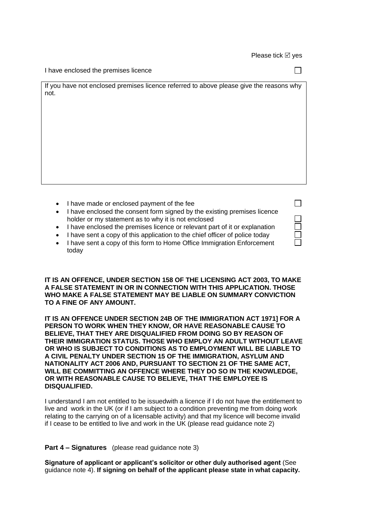| I have enclosed the premises licence                                                            |  |
|-------------------------------------------------------------------------------------------------|--|
| If you have not enclosed premises licence referred to above please give the reasons why<br>not. |  |
|                                                                                                 |  |
|                                                                                                 |  |
|                                                                                                 |  |
|                                                                                                 |  |

| • I have made or enclosed payment of the fee                                  |  |
|-------------------------------------------------------------------------------|--|
|                                                                               |  |
| • I have enclosed the consent form signed by the existing premises licence    |  |
| holder or my statement as to why it is not enclosed                           |  |
| • I have enclosed the premises licence or relevant part of it or explanation  |  |
| • I have sent a copy of this application to the chief officer of police today |  |
| • I have sent a copy of this form to Home Office Immigration Enforcement      |  |
| today                                                                         |  |

**IT IS AN OFFENCE, UNDER SECTION 158 OF THE LICENSING ACT 2003, TO MAKE A FALSE STATEMENT IN OR IN CONNECTION WITH THIS APPLICATION. THOSE WHO MAKE A FALSE STATEMENT MAY BE LIABLE ON SUMMARY CONVICTION TO A FINE OF ANY AMOUNT.** 

**IT IS AN OFFENCE UNDER SECTION 24B OF THE IMMIGRATION ACT 1971] FOR A PERSON TO WORK WHEN THEY KNOW, OR HAVE REASONABLE CAUSE TO BELIEVE, THAT THEY ARE DISQUALIFIED FROM DOING SO BY REASON OF THEIR IMMIGRATION STATUS. THOSE WHO EMPLOY AN ADULT WITHOUT LEAVE OR WHO IS SUBJECT TO CONDITIONS AS TO EMPLOYMENT WILL BE LIABLE TO A CIVIL PENALTY UNDER SECTION 15 OF THE IMMIGRATION, ASYLUM AND NATIONALITY ACT 2006 AND, PURSUANT TO SECTION 21 OF THE SAME ACT, WILL BE COMMITTING AN OFFENCE WHERE THEY DO SO IN THE KNOWLEDGE, OR WITH REASONABLE CAUSE TO BELIEVE, THAT THE EMPLOYEE IS DISQUALIFIED.** 

I understand I am not entitled to be issuedwith a licence if I do not have the entitlement to live and work in the UK (or if I am subject to a condition preventing me from doing work relating to the carrying on of a licensable activity) and that my licence will become invalid if I cease to be entitled to live and work in the UK (please read guidance note 2)

# **Part 4 – Signatures** (please read guidance note 3)

**Signature of applicant or applicant's solicitor or other duly authorised agent** (See guidance note 4). **If signing on behalf of the applicant please state in what capacity.**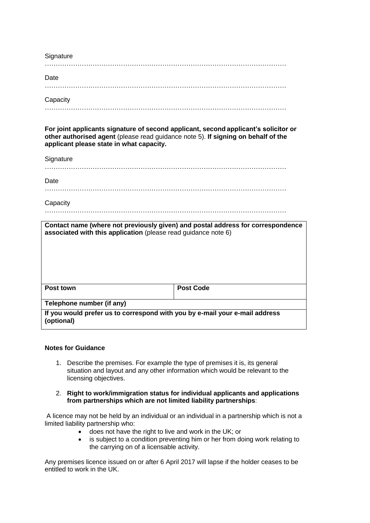| Signature |  |
|-----------|--|
|           |  |
| Date      |  |
|           |  |
| Capacity  |  |

…………………………………………………………………………………………………

**For joint applicants signature of second applicant, second applicant's solicitor or other authorised agent** (please read guidance note 5). **If signing on behalf of the applicant please state in what capacity.**

Signature

…………………………………………………………………………………………………

**Date** 

…………………………………………………………………………………………………

# **Capacity**

…………………………………………………………………………………………………

| associated with this application (please read guidance note 6)                            | Contact name (where not previously given) and postal address for correspondence |  |
|-------------------------------------------------------------------------------------------|---------------------------------------------------------------------------------|--|
| Post town                                                                                 | Post Code                                                                       |  |
| Telephone number (if any)                                                                 |                                                                                 |  |
| If you would prefer us to correspond with you by e-mail your e-mail address<br>(optional) |                                                                                 |  |

## **Notes for Guidance**

- 1. Describe the premises. For example the type of premises it is, its general situation and layout and any other information which would be relevant to the licensing objectives.
- 2. **Right to work/immigration status for individual applicants and applications from partnerships which are not limited liability partnerships**:

A licence may not be held by an individual or an individual in a partnership which is not a limited liability partnership who:

- does not have the right to live and work in the UK; or
- is subject to a condition preventing him or her from doing work relating to the carrying on of a licensable activity.

Any premises licence issued on or after 6 April 2017 will lapse if the holder ceases to be entitled to work in the UK.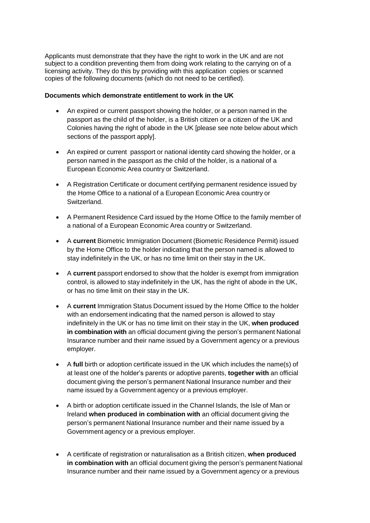Applicants must demonstrate that they have the right to work in the UK and are not subject to a condition preventing them from doing work relating to the carrying on of a licensing activity. They do this by providing with this application copies or scanned copies of the following documents (which do not need to be certified).

# **Documents which demonstrate entitlement to work in the UK**

- An expired or current passport showing the holder, or a person named in the passport as the child of the holder, is a British citizen or a citizen of the UK and Colonies having the right of abode in the UK [please see note below about which sections of the passport apply].
- An expired or current passport or national identity card showing the holder, or a person named in the passport as the child of the holder, is a national of a European Economic Area country or Switzerland.
- A Registration Certificate or document certifying permanent residence issued by the Home Office to a national of a European Economic Area country or Switzerland.
- A Permanent Residence Card issued by the Home Office to the family member of a national of a European Economic Area country or Switzerland.
- A **current** Biometric Immigration Document (Biometric Residence Permit) issued by the Home Office to the holder indicating that the person named is allowed to stay indefinitely in the UK, or has no time limit on their stay in the UK.
- A **current** passport endorsed to show that the holder is exempt from immigration control, is allowed to stay indefinitely in the UK, has the right of abode in the UK, or has no time limit on their stay in the UK.
- A **current** Immigration Status Document issued by the Home Office to the holder with an endorsement indicating that the named person is allowed to stay indefinitely in the UK or has no time limit on their stay in the UK, **when produced in combination with** an official document giving the person's permanent National Insurance number and their name issued by a Government agency or a previous employer.
- A **full** birth or adoption certificate issued in the UK which includes the name(s) of at least one of the holder's parents or adoptive parents, **together with** an official document giving the person's permanent National Insurance number and their name issued by a Government agency or a previous employer.
- A birth or adoption certificate issued in the Channel Islands, the Isle of Man or Ireland **when produced in combination with** an official document giving the person's permanent National Insurance number and their name issued by a Government agency or a previous employer.
- A certificate of registration or naturalisation as a British citizen, **when produced in combination with** an official document giving the person's permanent National Insurance number and their name issued by a Government agency or a previous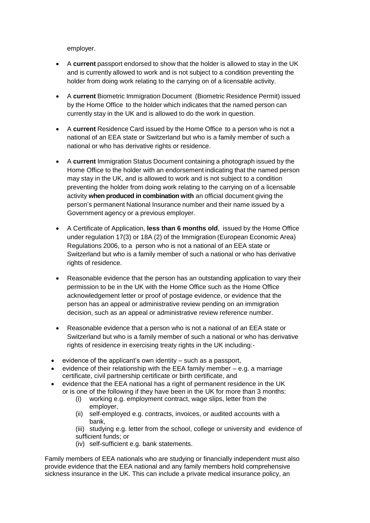employer.

- A **current** passport endorsed to show that the holder is allowed to stay in the UK and is currently allowed to work and is not subject to a condition preventing the holder from doing work relating to the carrying on of a licensable activity.
- A **current** Biometric Immigration Document (Biometric Residence Permit) issued by the Home Office to the holder which indicates that the named person can currently stay in the UK and is allowed to do the work in question.
- A **current** Residence Card issued by the Home Office to a person who is not a national of an EEA state or Switzerland but who is a family member of such a national or who has derivative rights or residence.
- A **current** Immigration Status Document containing a photograph issued by the Home Office to the holder with an endorsement indicating that the named person may stay in the UK, and is allowed to work and is not subject to a condition preventing the holder from doing work relating to the carrying on of a licensable activity **when produced in combination with** an official document giving the person's permanent National Insurance number and their name issued by a Government agency or a previous employer.
- A Certificate of Application, **less than 6 months old**, issued by the Home Office under regulation 17(3) or 18A (2) of the Immigration (European Economic Area) Regulations 2006, to a person who is not a national of an EEA state or Switzerland but who is a family member of such a national or who has derivative rights of residence.
- Reasonable evidence that the person has an outstanding application to vary their permission to be in the UK with the Home Office such as the Home Office acknowledgement letter or proof of postage evidence, or evidence that the person has an appeal or administrative review pending on an immigration decision, such as an appeal or administrative review reference number.
- Reasonable evidence that a person who is not a national of an EEA state or Switzerland but who is a family member of such a national or who has derivative rights of residence in exercising treaty rights in the UK including:-
- evidence of the applicant's own identity such as a passport,
- evidence of their relationship with the EEA family member e.g. a marriage certificate, civil partnership certificate or birth certificate, and
- evidence that the EEA national has a right of permanent residence in the UK or is one of the following if they have been in the UK for more than 3 months:
	- (i) working e.g. employment contract, wage slips, letter from the employer,
	- (ii) self-employed e.g. contracts, invoices, or audited accounts with a bank,
	- (iii) studying e.g. letter from the school, college or university and evidence of sufficient funds; or
	- (iv) self-sufficient e.g. bank statements.

Family members of EEA nationals who are studying or financially independent must also provide evidence that the EEA national and any family members hold comprehensive sickness insurance in the UK. This can include a private medical insurance policy, an